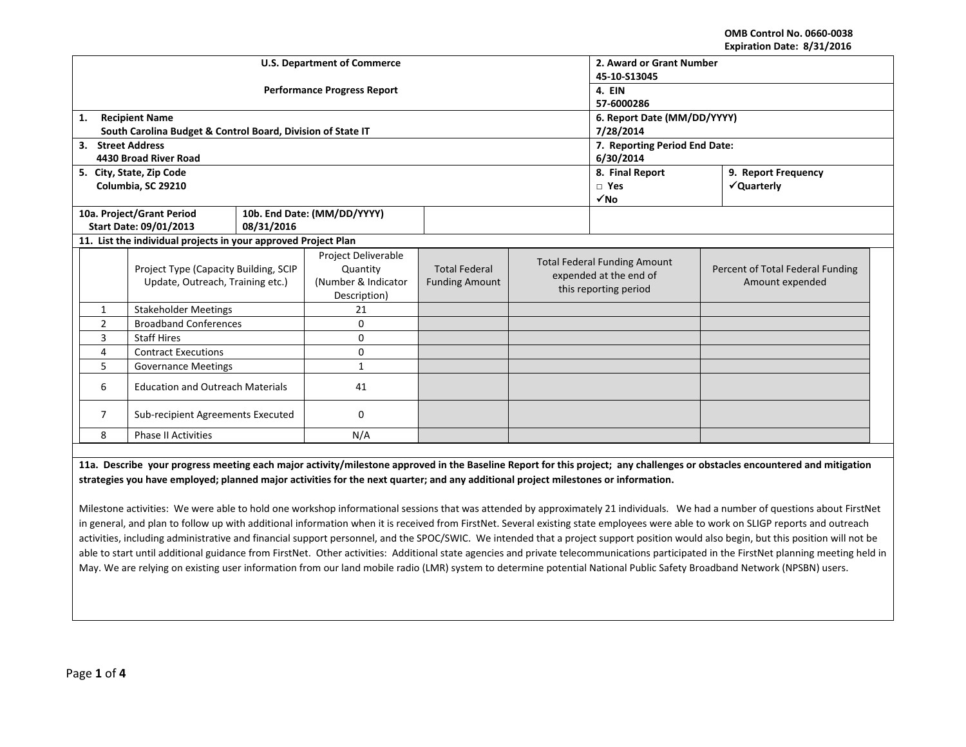**OMB Control No. 0660‐0038 Expiration Date: 8/31/2016**

|                                                                |                                                             |                                    |                               |                       |  |                                          | LAPII QUUII DALC. OJ JIJ LUIU                                                                                                                                             |  |  |
|----------------------------------------------------------------|-------------------------------------------------------------|------------------------------------|-------------------------------|-----------------------|--|------------------------------------------|---------------------------------------------------------------------------------------------------------------------------------------------------------------------------|--|--|
|                                                                |                                                             | <b>U.S. Department of Commerce</b> | 2. Award or Grant Number      |                       |  |                                          |                                                                                                                                                                           |  |  |
|                                                                |                                                             |                                    | 45-10-S13045                  |                       |  |                                          |                                                                                                                                                                           |  |  |
|                                                                |                                                             | <b>Performance Progress Report</b> | 4. EIN                        |                       |  |                                          |                                                                                                                                                                           |  |  |
|                                                                |                                                             |                                    | 57-6000286                    |                       |  |                                          |                                                                                                                                                                           |  |  |
| 1.                                                             | <b>Recipient Name</b>                                       |                                    | 6. Report Date (MM/DD/YYYY)   |                       |  |                                          |                                                                                                                                                                           |  |  |
|                                                                | South Carolina Budget & Control Board, Division of State IT |                                    | 7/28/2014                     |                       |  |                                          |                                                                                                                                                                           |  |  |
| 3. Street Address                                              |                                                             |                                    | 7. Reporting Period End Date: |                       |  |                                          |                                                                                                                                                                           |  |  |
|                                                                | 4430 Broad River Road                                       |                                    |                               |                       |  | 6/30/2014                                |                                                                                                                                                                           |  |  |
|                                                                | 5. City, State, Zip Code                                    |                                    |                               |                       |  | 8. Final Report                          | 9. Report Frequency                                                                                                                                                       |  |  |
|                                                                | Columbia, SC 29210                                          |                                    |                               |                       |  | $\Box$ Yes                               | √Quarterly                                                                                                                                                                |  |  |
|                                                                |                                                             |                                    |                               |                       |  | $\sqrt{NQ}$                              |                                                                                                                                                                           |  |  |
|                                                                | 10a. Project/Grant Period<br>10b. End Date: (MM/DD/YYYY)    |                                    |                               |                       |  |                                          |                                                                                                                                                                           |  |  |
|                                                                | Start Date: 09/01/2013                                      | 08/31/2016                         |                               |                       |  |                                          |                                                                                                                                                                           |  |  |
| 11. List the individual projects in your approved Project Plan |                                                             |                                    |                               |                       |  |                                          |                                                                                                                                                                           |  |  |
|                                                                |                                                             |                                    | Project Deliverable           |                       |  | <b>Total Federal Funding Amount</b>      |                                                                                                                                                                           |  |  |
|                                                                | Project Type (Capacity Building, SCIP                       |                                    | Quantity                      | <b>Total Federal</b>  |  | expended at the end of                   | Percent of Total Federal Funding                                                                                                                                          |  |  |
|                                                                | Update, Outreach, Training etc.)                            |                                    | (Number & Indicator           | <b>Funding Amount</b> |  | Amount expended<br>this reporting period |                                                                                                                                                                           |  |  |
|                                                                |                                                             |                                    | Description)                  |                       |  |                                          |                                                                                                                                                                           |  |  |
| $\mathbf{1}$                                                   | <b>Stakeholder Meetings</b>                                 |                                    | 21                            |                       |  |                                          |                                                                                                                                                                           |  |  |
| $\overline{2}$                                                 | <b>Broadband Conferences</b>                                |                                    | 0                             |                       |  |                                          |                                                                                                                                                                           |  |  |
| 3                                                              | <b>Staff Hires</b>                                          |                                    | 0                             |                       |  |                                          |                                                                                                                                                                           |  |  |
| 4                                                              | <b>Contract Executions</b>                                  |                                    | 0                             |                       |  |                                          |                                                                                                                                                                           |  |  |
| 5                                                              | <b>Governance Meetings</b>                                  |                                    | $\mathbf{1}$                  |                       |  |                                          |                                                                                                                                                                           |  |  |
| 6                                                              | <b>Education and Outreach Materials</b>                     |                                    | 41                            |                       |  |                                          |                                                                                                                                                                           |  |  |
| Sub-recipient Agreements Executed<br>7                         |                                                             | 0                                  |                               |                       |  |                                          |                                                                                                                                                                           |  |  |
| 8                                                              | <b>Phase II Activities</b>                                  |                                    | N/A                           |                       |  |                                          |                                                                                                                                                                           |  |  |
|                                                                |                                                             |                                    |                               |                       |  |                                          |                                                                                                                                                                           |  |  |
|                                                                |                                                             |                                    |                               |                       |  |                                          | 11a Describe vour progress meeting each major astivity/milestone annrouad in the Baseline Benett for this project: any challenges or obstacles encountered and mitigation |  |  |

**11a. Describe**iss meeting each major activity/milestone approved in the Baseline Report for this project; any challenges or obstacles encountered strategies you have employed; planned major activities for the next quarter; and any additional project milestones or information.

Milestone activities: We were able to hold one workshop informational sessions that was attended by approximately 21 individuals. We had <sup>a</sup> number of questions about FirstNet in general, and plan to follow up with additional information when it is received from FirstNet. Several existing state employees were able to work on SLIGP reports and outreach activities, including administrative and financial support personnel, and the SPOC/SWIC. We intended that <sup>a</sup> project support position would also begin, but this position will not be able to start until additional guidance from FirstNet. Other activities: Additional state agencies and private telecommunications participated in the FirstNet planning meeting held in May. We are relying on existing user information from our land mobile radio (LMR) system to determine potential National Public Safety Broadband Network (NPSBN) users.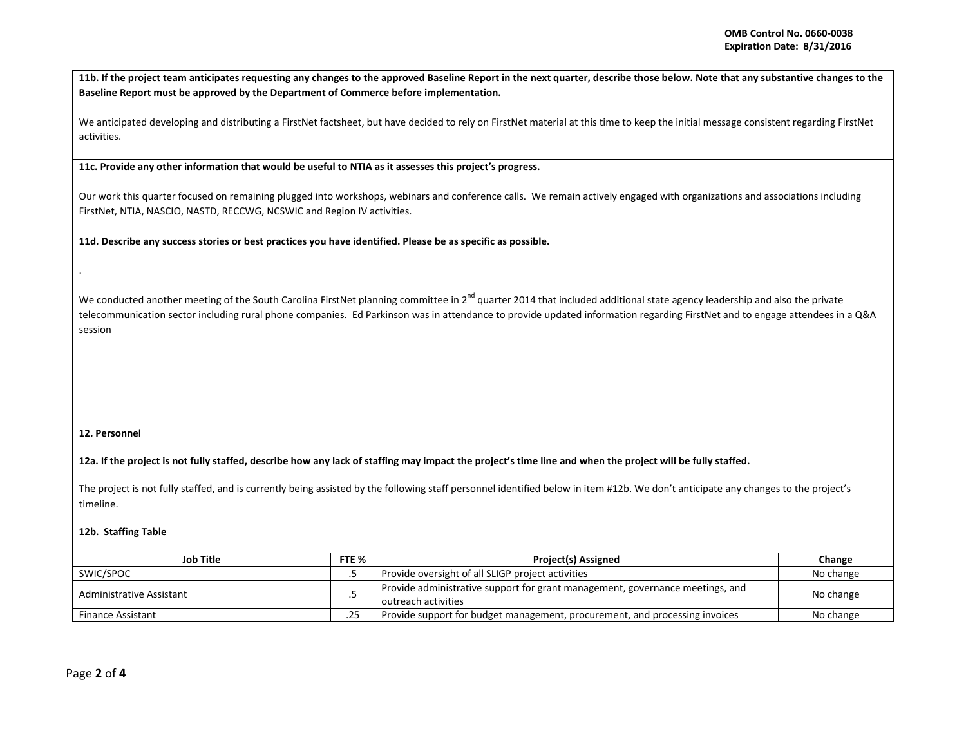11b. If the project team anticipates requesting any changes to the approved Baseline Report in the next quarter, describe those below. Note that any substantive changes to the **Baseline Report must be approved by the Department of Commerce before implementation.**

We anticipated developing and distributing <sup>a</sup> FirstNet factsheet, but have decided to rely on FirstNet material at this time to keep the initial message consistent regarding FirstNet activities.

**11c. Provide any other information that would be useful to NTIA as it assesses this project's progress.**

Our work this quarter focused on remaining plugged into workshops, webinars and conference calls. We remain actively engaged with organizations and associations including FirstNet, NTIA, NASCIO, NASTD, RECCWG, NCSWIC and Region IV activities.

11d. Describe any success stories or best practices you have identified. Please be as specific as possible.

We conducted another meeting of the South Carolina FirstNet planning committee in 2<sup>nd</sup> quarter 2014 that included additional state agency leadership and also the private telecommunication sector including rural phone companies. Ed Parkinson was in attendance to provide updated information regarding FirstNet and to engage attendees in <sup>a</sup> Q&A session

## **12. Personnel**

12a. If the project is not fully staffed, describe how any lack of staffing may impact the project's time line and when the project will be fully staffed.

The project is not fully staffed, and is currently being assisted by the following staff personnel identified below in item #12b. We don't anticipate any changes to the project's timeline.

## **12b. Staffing Table**

| Job Title                |  | <b>Project(s) Assigned</b>                                                                           | Change    |
|--------------------------|--|------------------------------------------------------------------------------------------------------|-----------|
| SWIC/SPOC                |  | Provide oversight of all SLIGP project activities                                                    | No change |
| Administrative Assistant |  | Provide administrative support for grant management, governance meetings, and<br>outreach activities | No change |
| <b>Finance Assistant</b> |  | Provide support for budget management, procurement, and processing invoices                          | No change |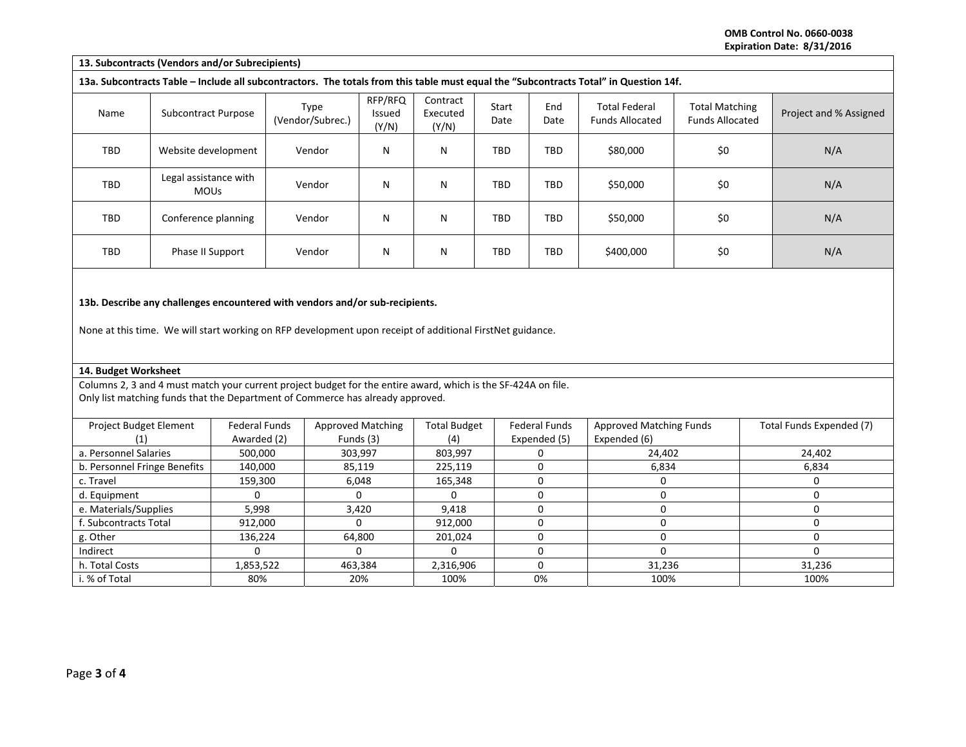**OMB Control No. 0660‐0038 Expiration Date: 8/31/2016**

| 13. Subcontracts (Vendors and/or Subrecipients)                                                           |                                      |                                     |                                                                                                                                                                                                 |                                       |                               |               |                                      |                                                                                                                                       |                                                 |                          |  |
|-----------------------------------------------------------------------------------------------------------|--------------------------------------|-------------------------------------|-------------------------------------------------------------------------------------------------------------------------------------------------------------------------------------------------|---------------------------------------|-------------------------------|---------------|--------------------------------------|---------------------------------------------------------------------------------------------------------------------------------------|-------------------------------------------------|--------------------------|--|
|                                                                                                           |                                      |                                     |                                                                                                                                                                                                 |                                       |                               |               |                                      | 13a. Subcontracts Table - Include all subcontractors. The totals from this table must equal the "Subcontracts Total" in Question 14f. |                                                 |                          |  |
| Name                                                                                                      | Subcontract Purpose                  |                                     | Type<br>(Vendor/Subrec.)                                                                                                                                                                        | RFP/RFQ<br>Issued<br>(Y/N)            | Contract<br>Executed<br>(Y/N) | Start<br>Date | End<br>Date                          | <b>Total Federal</b><br><b>Funds Allocated</b>                                                                                        | <b>Total Matching</b><br><b>Funds Allocated</b> | Project and % Assigned   |  |
| <b>TBD</b>                                                                                                | Website development                  |                                     | Vendor                                                                                                                                                                                          | N                                     | N                             | TBD           | <b>TBD</b>                           | \$80,000                                                                                                                              | \$0                                             | N/A                      |  |
| TBD                                                                                                       | Legal assistance with<br><b>MOUs</b> |                                     | Vendor                                                                                                                                                                                          | N                                     | N                             | TBD           | TBD                                  | \$50,000                                                                                                                              | \$0                                             | N/A                      |  |
| TBD                                                                                                       | Conference planning                  |                                     | Vendor                                                                                                                                                                                          | N                                     | N                             | <b>TBD</b>    | <b>TBD</b>                           | \$50,000                                                                                                                              | \$0                                             | N/A                      |  |
| TBD                                                                                                       | Phase II Support                     |                                     | Vendor                                                                                                                                                                                          | $\mathsf{N}$                          | N                             | TBD           | <b>TBD</b>                           | \$400,000                                                                                                                             | \$0                                             | N/A                      |  |
| None at this time. We will start working on RFP development upon receipt of additional FirstNet guidance. |                                      |                                     |                                                                                                                                                                                                 |                                       |                               |               |                                      |                                                                                                                                       |                                                 |                          |  |
| 14. Budget Worksheet                                                                                      |                                      |                                     |                                                                                                                                                                                                 |                                       |                               |               |                                      |                                                                                                                                       |                                                 |                          |  |
|                                                                                                           |                                      |                                     | Columns 2, 3 and 4 must match your current project budget for the entire award, which is the SF-424A on file.<br>Only list matching funds that the Department of Commerce has already approved. |                                       |                               |               |                                      |                                                                                                                                       |                                                 |                          |  |
| Project Budget Element<br>(1)                                                                             |                                      | <b>Federal Funds</b><br>Awarded (2) |                                                                                                                                                                                                 | <b>Approved Matching</b><br>Funds (3) | <b>Total Budget</b><br>(4)    |               | <b>Federal Funds</b><br>Expended (5) | Approved Matching Funds<br>Expended (6)                                                                                               |                                                 | Total Funds Expended (7) |  |
| a. Personnel Salaries                                                                                     |                                      | 500,000                             |                                                                                                                                                                                                 | 303,997                               | 803,997                       |               | 0                                    | 24,402                                                                                                                                |                                                 | 24,402                   |  |
| b. Personnel Fringe Benefits                                                                              |                                      | 140,000                             |                                                                                                                                                                                                 | 85,119                                | 225,119                       |               | 0                                    | 6,834                                                                                                                                 |                                                 | 6,834                    |  |
| c. Travel                                                                                                 |                                      | 159,300                             |                                                                                                                                                                                                 | 6,048                                 | 165,348                       |               | 0                                    | $\mathbf 0$                                                                                                                           |                                                 | $\Omega$                 |  |
| d. Equipment                                                                                              |                                      | 0                                   |                                                                                                                                                                                                 | $\Omega$                              | 0                             |               | $\mathbf 0$                          | $\mathbf 0$                                                                                                                           |                                                 | $\mathbf 0$              |  |
| e. Materials/Supplies                                                                                     |                                      | 5,998                               |                                                                                                                                                                                                 | 3,420                                 |                               |               | 0                                    | $\mathbf 0$                                                                                                                           |                                                 | $\mathbf 0$              |  |
| f. Subcontracts Total                                                                                     |                                      | 912,000                             |                                                                                                                                                                                                 | $\Omega$                              | 912,000                       |               | 0                                    | $\mathbf 0$                                                                                                                           |                                                 | $\mathbf 0$              |  |
| g. Other                                                                                                  |                                      | 136,224                             |                                                                                                                                                                                                 | 64,800                                |                               |               | 0                                    | $\mathbf 0$                                                                                                                           |                                                 | $\mathbf 0$              |  |
| Indirect                                                                                                  |                                      | $\overline{0}$                      |                                                                                                                                                                                                 | $\Omega$                              | $\Omega$                      |               | 0                                    | $\Omega$                                                                                                                              |                                                 | $\Omega$                 |  |
| h. Total Costs                                                                                            |                                      | 1,853,522                           |                                                                                                                                                                                                 | 463,384                               |                               |               | 0                                    | 31,236                                                                                                                                |                                                 | 31,236                   |  |
| i. % of Total                                                                                             |                                      | 80%                                 |                                                                                                                                                                                                 | 20%                                   | 100%                          |               | 0%                                   | 100%                                                                                                                                  |                                                 | 100%                     |  |